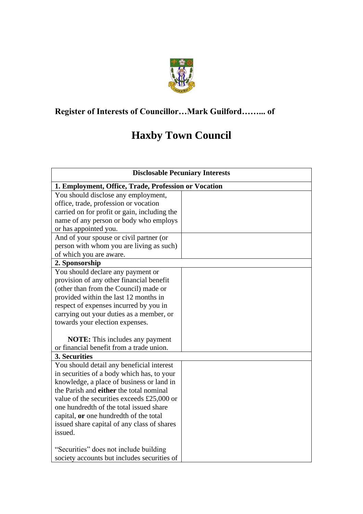

## **Register of Interests of Councillor…Mark Guilford……... of**

## **Haxby Town Council**

| <b>Disclosable Pecuniary Interests</b>               |  |  |
|------------------------------------------------------|--|--|
| 1. Employment, Office, Trade, Profession or Vocation |  |  |
| You should disclose any employment,                  |  |  |
| office, trade, profession or vocation                |  |  |
| carried on for profit or gain, including the         |  |  |
| name of any person or body who employs               |  |  |
| or has appointed you.                                |  |  |
| And of your spouse or civil partner (or              |  |  |
| person with whom you are living as such)             |  |  |
| of which you are aware.                              |  |  |
| 2. Sponsorship                                       |  |  |
| You should declare any payment or                    |  |  |
| provision of any other financial benefit             |  |  |
| (other than from the Council) made or                |  |  |
| provided within the last 12 months in                |  |  |
| respect of expenses incurred by you in               |  |  |
| carrying out your duties as a member, or             |  |  |
| towards your election expenses.                      |  |  |
|                                                      |  |  |
| <b>NOTE:</b> This includes any payment               |  |  |
| or financial benefit from a trade union.             |  |  |
| 3. Securities                                        |  |  |
| You should detail any beneficial interest            |  |  |
| in securities of a body which has, to your           |  |  |
| knowledge, a place of business or land in            |  |  |
| the Parish and either the total nominal              |  |  |
| value of the securities exceeds £25,000 or           |  |  |
| one hundredth of the total issued share              |  |  |
| capital, or one hundredth of the total               |  |  |
| issued share capital of any class of shares          |  |  |
| issued.                                              |  |  |
| "Securities" does not include building               |  |  |
| society accounts but includes securities of          |  |  |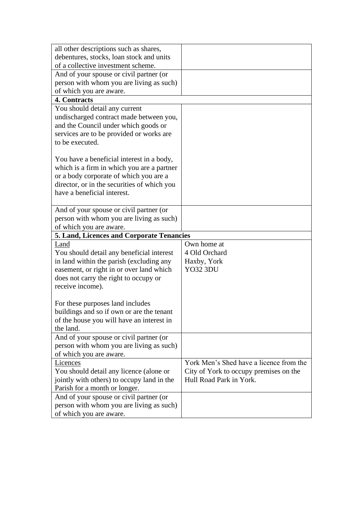| all other descriptions such as shares,                                                  |                                         |  |  |  |
|-----------------------------------------------------------------------------------------|-----------------------------------------|--|--|--|
| debentures, stocks, loan stock and units                                                |                                         |  |  |  |
| of a collective investment scheme.                                                      |                                         |  |  |  |
| And of your spouse or civil partner (or                                                 |                                         |  |  |  |
| person with whom you are living as such)                                                |                                         |  |  |  |
| of which you are aware.                                                                 |                                         |  |  |  |
| 4. Contracts                                                                            |                                         |  |  |  |
| You should detail any current                                                           |                                         |  |  |  |
| undischarged contract made between you,                                                 |                                         |  |  |  |
| and the Council under which goods or                                                    |                                         |  |  |  |
| services are to be provided or works are                                                |                                         |  |  |  |
| to be executed.                                                                         |                                         |  |  |  |
|                                                                                         |                                         |  |  |  |
| You have a beneficial interest in a body,<br>which is a firm in which you are a partner |                                         |  |  |  |
| or a body corporate of which you are a                                                  |                                         |  |  |  |
| director, or in the securities of which you                                             |                                         |  |  |  |
| have a beneficial interest.                                                             |                                         |  |  |  |
|                                                                                         |                                         |  |  |  |
| And of your spouse or civil partner (or                                                 |                                         |  |  |  |
| person with whom you are living as such)                                                |                                         |  |  |  |
| of which you are aware.                                                                 |                                         |  |  |  |
| 5. Land, Licences and Corporate Tenancies                                               |                                         |  |  |  |
|                                                                                         |                                         |  |  |  |
| Land                                                                                    | Own home at                             |  |  |  |
| You should detail any beneficial interest                                               | 4 Old Orchard                           |  |  |  |
| in land within the parish (excluding any                                                | Haxby, York                             |  |  |  |
| easement, or right in or over land which                                                | <b>YO32 3DU</b>                         |  |  |  |
| does not carry the right to occupy or                                                   |                                         |  |  |  |
| receive income).                                                                        |                                         |  |  |  |
|                                                                                         |                                         |  |  |  |
| For these purposes land includes                                                        |                                         |  |  |  |
| buildings and so if own or are the tenant                                               |                                         |  |  |  |
| of the house you will have an interest in                                               |                                         |  |  |  |
| the land.                                                                               |                                         |  |  |  |
| And of your spouse or civil partner (or                                                 |                                         |  |  |  |
| person with whom you are living as such)                                                |                                         |  |  |  |
| of which you are aware.                                                                 |                                         |  |  |  |
| Licences                                                                                | York Men's Shed have a licence from the |  |  |  |
| You should detail any licence (alone or                                                 | City of York to occupy premises on the  |  |  |  |
| jointly with others) to occupy land in the                                              | Hull Road Park in York.                 |  |  |  |
| Parish for a month or longer.                                                           |                                         |  |  |  |
| And of your spouse or civil partner (or                                                 |                                         |  |  |  |
| person with whom you are living as such)<br>of which you are aware.                     |                                         |  |  |  |